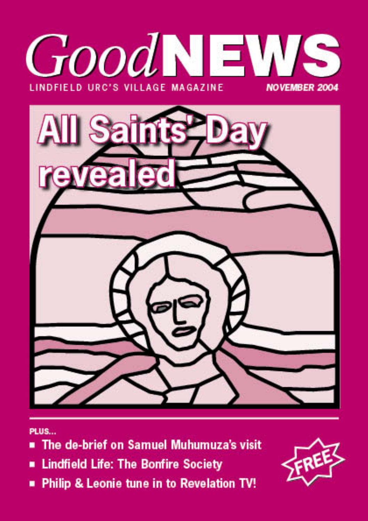



PLUS...

- The de-brief on Samuel Muhumuza's visit
- Lindfield Life: The Bonfire Society
- Philip & Leonie tune in to Revelation TV!

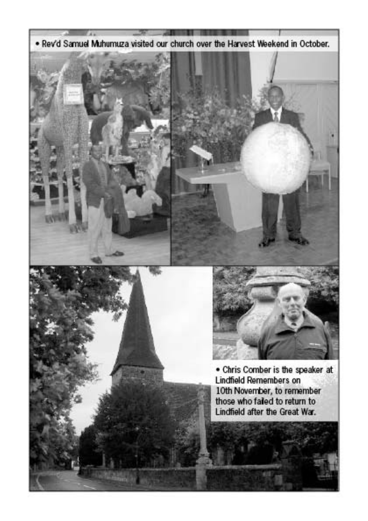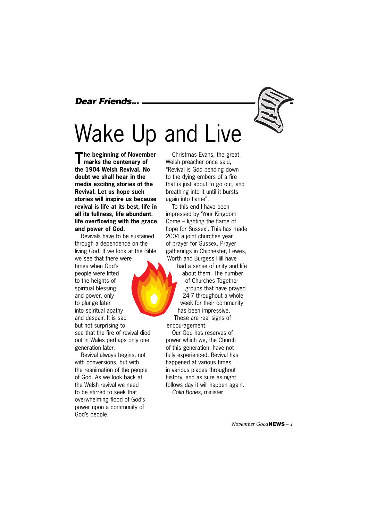# *Dear Friends...*

# Wake Up and Live

**The beginning of November marks the centenary of the 1904 Welsh Revival. No doubt we shall hear in the media exciting stories of the Revival. Let us hope such stories will inspire us because revival is life at its best, life in all its fullness, life abundant, life overflowing with the grace and power of God.**

Revivals have to be sustained through a dependence on the living God. If we look at the Bible we see that there were times when God's people were lifted to the heights of spiritual blessing and power, only to plunge later into spiritual apathy and despair. It is sad but not surprising to see that the fire of revival died out in Wales perhaps only one generation later.

Revival always begins, not with conversions, but with the reanimation of the people of God. As we look back at the Welsh revival we need to be stirred to seek that overwhelming flood of God's power upon a community of God's people.

Christmas Evans, the great Welsh preacher once said, "Revival is God bending down to the dying embers of a fire that is just about to go out, and breathing into it until it bursts again into flame".

To this end I have been impressed by 'Your Kingdom Come – lighting the flame of hope for Sussex'. This has made 2004 a joint churches year of prayer for Sussex. Prayer gatherings in Chichester, Lewes, Worth and Burgess Hill have had a sense of unity and life about them. The number of Churches Together groups that have prayed 24-7 throughout a whole week for their community has been impressive. These are real signs of encouragement.

Our God has reserves of power which we, the Church of this generation, have not fully experienced. Revival has happened at various times in various places throughout history, and as sure as night follows day it will happen again. *Colin Bones*, minister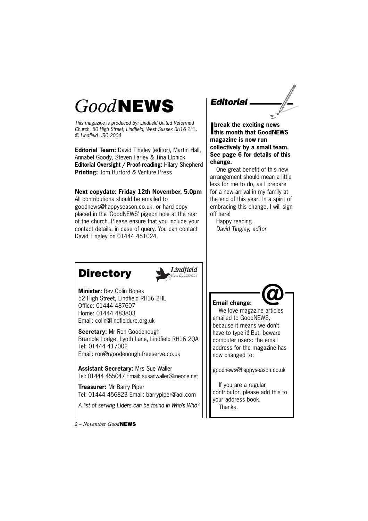# *Good***NEWS**

*This magazine is produced by: Lindfield United Reformed Church, 50 High Street, Lindfield, West Sussex RH16 2HL. © Lindfield URC 2004*

**Editorial Team:** David Tingley (editor), Martin Hall, Annabel Goody, Steven Farley & Tina Elphick **Editorial Oversight / Proof-reading:** Hilary Shepherd **Printing:** Tom Burford & Venture Press

### **Next copydate: Friday 12th November, 5.0pm**

All contributions should be emailed to goodnews@happyseason.co.uk, or hard copy placed in the 'GoodNEWS' pigeon hole at the rear of the church. Please ensure that you include your contact details, in case of query. You can contact David Tingley on 01444 451024.

*Editorial*

**I break the exciting news this month that GoodNEWS magazine is now run collectively by a small team. See page 6 for details of this change.** 

One great benefit of this new arrangement should mean a little less for me to do, as I prepare for a new arrival in my family at the end of this year!! In a spirit of embracing this change, I will sign off here!

Happy reading. *David Tingley, editor*

# **Directory**



**Minister:** Rev Colin Bones 52 High Street, Lindfield RH16 2HL Office: 01444 487607 Home: 01444 483803 Email: colin@lindfieldurc.org.uk

**Secretary:** Mr Ron Goodenough Bramble Lodge, Lyoth Lane, Lindfield RH16 2QA Tel: 01444 417002 Email: ron@rgoodenough.freeserve.co.uk

**Assistant Secretary:** Mrs Sue Waller Tel: 01444 455047 Email: susanwaller@lineone.net

**Treasurer:** Mr Barry Piper Tel: 01444 456823 Email: barrypiper@aol.com

*A list of serving Elders can be found in Who's Who?*

**Email change:** We love magazine articles emailed to GoodNEWS, because it means we don't have to type it! But, beware computer users: the email address for the magazine has now changed to:

goodnews@happyseason.co.uk

If you are a regular contributor, please add this to your address book. Thanks.

*2 – November Good***NEWS**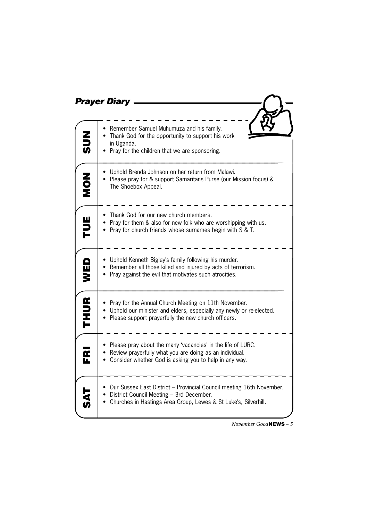|             | <b>Prayer Diary</b>                                                                                                                                                                    |  |  |
|-------------|----------------------------------------------------------------------------------------------------------------------------------------------------------------------------------------|--|--|
|             |                                                                                                                                                                                        |  |  |
| こつの         | Remember Samuel Muhumuza and his family.<br>• Thank God for the opportunity to support his work<br>in Uganda.<br>Pray for the children that we are sponsoring.                         |  |  |
| NON         | Uphold Brenda Johnson on her return from Malawi.<br>Please pray for & support Samaritans Purse (our Mission focus) &<br>The Shoebox Appeal.                                            |  |  |
| <b>NUE</b>  | Thank God for our new church members.<br>• Pray for them & also for new folk who are worshipping with us.<br>• Pray for church friends whose surnames begin with S & T.                |  |  |
| WED         | • Uphold Kenneth Bigley's family following his murder.<br>• Remember all those killed and injured by acts of terrorism.<br>• Pray against the evil that motivates such atrocities.     |  |  |
| <b>THUR</b> | Pray for the Annual Church Meeting on 11th November.<br>• Uphold our minister and elders, especially any newly or re-elected.<br>• Please support prayerfully the new church officers. |  |  |
| M           | • Please pray about the many 'vacancies' in the life of LURC.<br>• Review prayerfully what you are doing as an individual.<br>• Consider whether God is asking you to help in any way. |  |  |
|             | Our Sussex East District - Provincial Council meeting 16th November.<br>District Council Meeting - 3rd December.<br>Churches in Hastings Area Group, Lewes & St Luke's, Silverhill.    |  |  |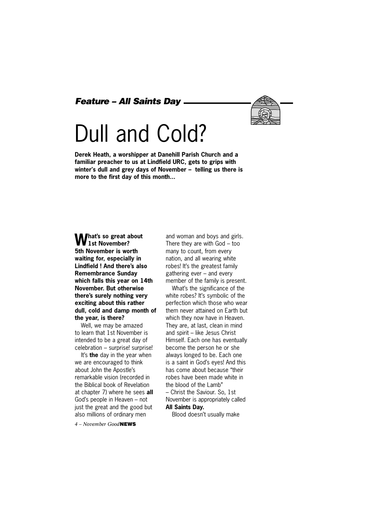*Feature – All Saints Day*



# Dull and Cold?

**Derek Heath, a worshipper at Danehill Parish Church and a familiar preacher to us at Lindfield URC, gets to grips with winter's dull and grey days of November – telling us there is more to the first day of this month...**

### **What's so great about**<br>**1st November? 5th November is worth waiting for, especially in Lindfield ! And there's also Remembrance Sunday which falls this year on 14th November. But otherwise there's surely nothing very exciting about this rather dull, cold and damp month of the year, is there?**

Well, we may be amazed to learn that 1st November is intended to be a great day of celebration – surprise! surprise!

It's **the** day in the year when we are encouraged to think about John the Apostle's remarkable vision (recorded in the Biblical book of Revelation at chapter 7) where he sees **all** God's people in Heaven – not just the great and the good but also millions of ordinary men

*4 – November Good***NEWS**

and woman and boys and girls. There they are with God – too many to count, from every nation, and all wearing white robes! It's the greatest family gathering ever – and every member of the family is present.

What's the significance of the white robes? It's symbolic of the perfection which those who wear them never attained on Earth but which they now have in Heaven. They are, at last, clean in mind and spirit – like Jesus Christ Himself. Each one has eventually become the person he or she always longed to be. Each one is a saint in God's eyes! And this has come about because "their robes have been made white in the blood of the Lamb" – Christ the Saviour. So, 1st November is appropriately called **All Saints Day.**

Blood doesn't usually make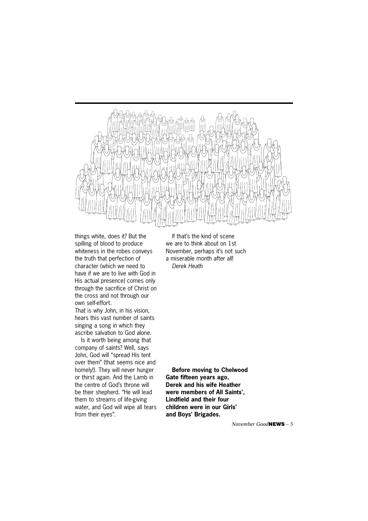

things white, does it? But the spilling of blood to produce whiteness in the robes conveys the truth that perfection of character (which we need to have if we are to live with God in His actual presence) comes only through the sacrifice of Christ on the cross and not through our own self-effort.

That is why John, in his vision, hears this vast number of saints singing a song in which they ascribe salvation to God alone.

Is it worth being among that company of saints? Well, says John, God will "spread His tent over them" (that seems nice and homely!). They will never hunger or thirst again. And the Lamb in the centre of God's throne will be their shepherd. "He will lead them to streams of life-giving water, and God will wipe all tears from their eyes".

If that's the kind of scene we are to think about on 1st November, perhaps it's not such a miserable month after all! *Derek Heath*

**Before moving to Chelwood Gate fifteen years ago, Derek and his wife Heather were members of All Saints', Lindfield and their four children were in our Girls' and Boys' Brigades.**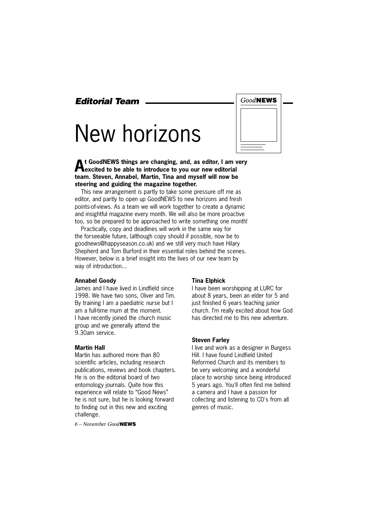*Editorial Team* 

# New horizons

| Good <b>NEWS</b> |  |
|------------------|--|
|                  |  |
|                  |  |
|                  |  |
|                  |  |

**At GoodNEWS things are changing, and, as editor, I am very excited to be able to introduce to you our new editorial team. Steven, Annabel, Martin, Tina and myself will now be steering and guiding the magazine together.** 

This new arrangement is partly to take some pressure off me as editor, and partly to open up GoodNEWS to new horizons and fresh points-of-views. As a team we will work together to create a dynamic and insightful magazine every month. We will also be more proactive too, so be prepared to be approached to write something one month!

Practically, copy and deadlines will work in the same way for the forseeable future, (although copy should if possible, now be to goodnews@happyseason.co.uk) and we still very much have Hilary Shepherd and Tom Burford in their essential roles behind the scenes. However, below is a brief insight into the lives of our new team by way of introduction...

### **Annabel Goody**

James and I have lived in Lindfield since 1998. We have two sons, Oliver and Tim. By training I am a paediatric nurse but I am a full-time mum at the moment. I have recently joined the church music group and we generally attend the 9.30am service.

### **Martin Hall**

Martin has authored more than 80 scientific articles, including research publications, reviews and book chapters. He is on the editorial board of two entomology journals. Quite how this experience will relate to "Good News" he is not sure, but he is looking forward to finding out in this new and exciting challenge.

*6 – November Good***NEWS**

#### **Tina Elphick**

I have been worshipping at LURC for about 8 years, been an elder for 5 and just finished 6 years teaching junior church. I'm really excited about how God has directed me to this new adventure.

#### **Steven Farley**

I live and work as a designer in Burgess Hill. I have found Lindfield United Reformed Church and its members to be very welcoming and a wonderful place to worship since being introduced 5 years ago. You'll often find me behind a camera and I have a passion for collecting and listening to CD's from all genres of music.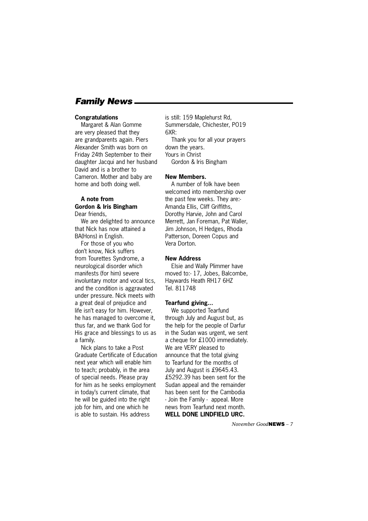# *Family News*

#### **Congratulations**

Margaret & Alan Gomme are very pleased that they are grandparents again. Piers Alexander Smith was born on Friday 24th September to their daughter Jacqui and her husband David and is a brother to Cameron. Mother and baby are home and both doing well.

### **A note from Gordon & Iris Bingham** Dear friends,

We are delighted to announce that Nick has now attained a BA(Hons) in English.

For those of you who don't know, Nick suffers from Tourettes Syndrome, a neurological disorder which manifests (for him) severe involuntary motor and vocal tics, and the condition is aggravated under pressure. Nick meets with a great deal of prejudice and life isn't easy for him. However, he has managed to overcome it, thus far, and we thank God for His grace and blessings to us as a family.

Nick plans to take a Post Graduate Certificate of Education next year which will enable him to teach; probably, in the area of special needs. Please pray for him as he seeks employment in today's current climate, that he will be guided into the right job for him, and one which he is able to sustain. His address

is still: 159 Maplehurst Rd, Summersdale, Chichester, PO19 6XR:

Thank you for all your prayers down the years. Yours in Christ

Gordon & Iris Bingham

#### **New Members.**

A number of folk have been welcomed into membership over the past few weeks. They are:- Amanda Ellis, Cliff Griffiths, Dorothy Harvie, John and Carol Merrett, Jan Foreman, Pat Waller, Jim Johnson, H Hedges, Rhoda Patterson, Doreen Copus and Vera Dorton.

#### **New Address**

Elsie and Wally Plimmer have moved to:- 17, Jobes, Balcombe, Haywards Heath RH17 6HZ Tel. 811748

#### **Tearfund giving...**

We supported Tearfund through July and August but, as the help for the people of Darfur in the Sudan was urgent, we sent a cheque for £1000 immediately. We are VERY pleased to announce that the total giving to Tearfund for the months of July and August is £9645.43. £5292.39 has been sent for the Sudan appeal and the remainder has been sent for the Cambodia - Join the Family - appeal. More news from Tearfund next month. **WELL DONE LINDFIELD URC.**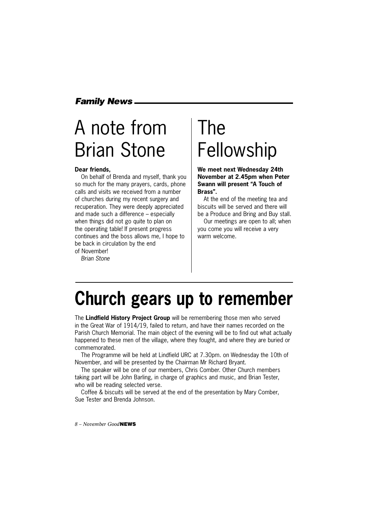# *Family News*

# A note from Brian Stone

### **Dear friends,**

On behalf of Brenda and myself, thank you so much for the many prayers, cards, phone calls and visits we received from a number of churches during my recent surgery and recuperation. They were deeply appreciated and made such a difference – especially when things did not go quite to plan on the operating table! If present progress continues and the boss allows me, I hope to be back in circulation by the end of November!

*Brian Stone*

# The Fellowship

### **We meet next Wednesday 24th November at 2.45pm when Peter Swann will present "A Touch of Brass".**

At the end of the meeting tea and biscuits will be served and there will be a Produce and Bring and Buy stall.

Our meetings are open to all; when you come you will receive a very warm welcome.

# **Church gears up to remember**

The **Lindfield History Project Group** will be remembering those men who served in the Great War of 1914/19, failed to return, and have their names recorded on the Parish Church Memorial. The main object of the evening will be to find out what actually happened to these men of the village, where they fought, and where they are buried or commemorated.

The Programme will be held at Lindfield URC at 7.30pm. on Wednesday the 10th of November, and will be presented by the Chairman Mr Richard Bryant.

The speaker will be one of our members, Chris Comber. Other Church members taking part will be John Barling, in charge of graphics and music, and Brian Tester, who will be reading selected verse.

Coffee & biscuits will be served at the end of the presentation by Mary Comber, Sue Tester and Brenda Johnson.

*8 – November Good***NEWS**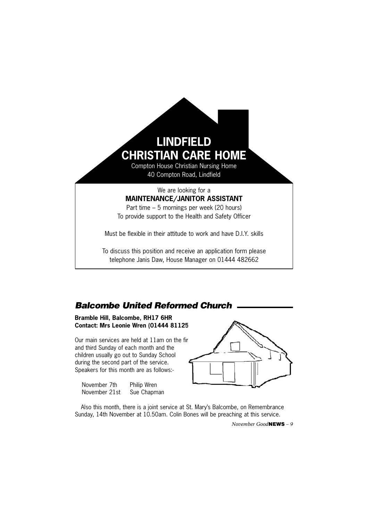

To discuss this position and receive an application form please telephone Janis Daw, House Manager on 01444 482662

# *Balcombe United Reformed Church*

**Bramble Hill, Balcombe, RH17 6HR Contact: Mrs Leonie Wren (01444 81125)** 

Our main services are held at  $11$ am on the fir and third Sunday of each month and the children usually go out to Sunday School during the second part of the service. Speakers for this month are as follows:-

| November 7th  | Philip Wren |
|---------------|-------------|
| November 21st | Sue Chapman |



Also this month, there is a joint service at St. Mary's Balcombe, on Remembrance Sunday, 14th November at 10.50am. Colin Bones will be preaching at this service.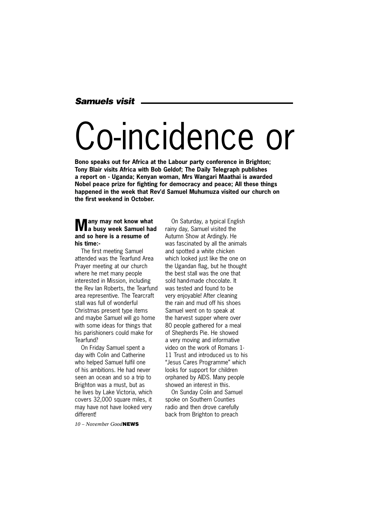## *Samuels visit*

# Co-incidence or

**Bono speaks out for Africa at the Labour party conference in Brighton; Tony Blair visits Africa with Bob Geldof; The Daily Telegraph publishes a report on - Uganda; Kenyan woman, Mrs Wangari Maathai is awarded Nobel peace prize for fighting for democracy and peace; All these things happened in the week that Rev'd Samuel Muhumuza visited our church on the first weekend in October.**

# **Many may not know what a busy week Samuel had and so here is a resume of his time:-**

The first meeting Samuel attended was the Tearfund Area Prayer meeting at our church where he met many people interested in Mission, including the Rev Ian Roberts, the Tearfund area representive. The Tearcraft stall was full of wonderful Christmas present type items and maybe Samuel will go home with some ideas for things that his parishioners could make for Tearfund?

On Friday Samuel spent a day with Colin and Catherine who helped Samuel fulfil one of his ambitions. He had never seen an ocean and so a trip to Brighton was a must, but as he lives by Lake Victoria, which covers 32,000 square miles, it may have not have looked very different!

*10 – November Good***NEWS**

On Saturday, a typical English rainy day, Samuel visited the Autumn Show at Ardingly. He was fascinated by all the animals and spotted a white chicken which looked just like the one on the Ugandan flag, but he thought the best stall was the one that sold hand-made chocolate. It was tested and found to be very enjoyable! After cleaning the rain and mud off his shoes Samuel went on to speak at the harvest supper where over 80 people gathered for a meal of Shepherds Pie. He showed a very moving and informative video on the work of Romans 1- 11 Trust and introduced us to his "Jesus Cares Programme" which looks for support for children orphaned by AIDS. Many people showed an interest in this.

On Sunday Colin and Samuel spoke on Southern Counties radio and then drove carefully back from Brighton to preach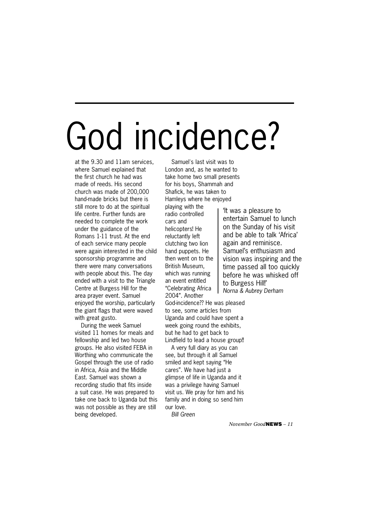# God incidence?

at the 9.30 and 11am services, where Samuel explained that the first church he had was made of reeds. His second church was made of 200,000 hand-made bricks but there is still more to do at the spiritual life centre. Further funds are needed to complete the work under the guidance of the Romans 1-11 trust. At the end of each service many people were again interested in the child sponsorship programme and there were many conversations with people about this. The day ended with a visit to the Triangle Centre at Burgess Hill for the area prayer event. Samuel enjoyed the worship, particularly the giant flags that were waved with great gusto.

During the week Samuel visited 11 homes for meals and fellowship and led two house groups. He also visited FEBA in Worthing who communicate the Gospel through the use of radio in Africa, Asia and the Middle East. Samuel was shown a recording studio that fits inside a suit case. He was prepared to take one back to Uganda but this was not possible as they are still being developed.

Samuel's last visit was to London and, as he wanted to take home two small presents for his boys, Shammah and Shafick, he was taken to Hamleys where he enjoyed

playing with the radio controlled cars and helicopters! He reluctantly left clutching two lion hand puppets. He then went on to the British Museum, which was running an event entitled "Celebrating Africa 2004". Another

God-incidence?? He was pleased to see, some articles from Uganda and could have spent a week going round the exhibits, but he had to get back to Lindfield to lead a house group!!

A very full diary as you can see, but through it all Samuel smiled and kept saying "He cares". We have had just a glimpse of life in Uganda and it was a privilege having Samuel visit us. We pray for him and his family and in doing so send him our love.

*Bill Green*

'It was a pleasure to entertain Samuel to lunch on the Sunday of his visit and be able to talk 'Africa' again and reminisce. Samuel's enthusiasm and vision was inspiring and the time passed all too quickly before he was whisked off to Burgess Hill!' *Norna & Aubrey Derham*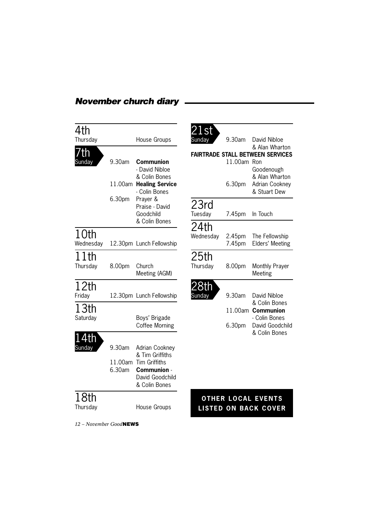# *November church diary*

|                   | <b>House Groups</b>                                                     |
|-------------------|-------------------------------------------------------------------------|
|                   |                                                                         |
| 9.30am            | Communion<br>- David Nibloe<br>& Colin Bones                            |
| 11.00am           | <b>Healing Service</b><br>- Colin Bones                                 |
| 6.30pm            | Prayer &<br>Praise - David<br>Goodchild<br>& Colin Bones                |
|                   |                                                                         |
|                   | 12.30pm Lunch Fellowship                                                |
| 8.00pm            | Church<br>Meeting (AGM)                                                 |
|                   |                                                                         |
| 12.30pm           | Lunch Fellowship                                                        |
|                   | Boys' Brigade<br><b>Coffee Morning</b>                                  |
|                   |                                                                         |
| 9.30am            | Adrian Cookney<br>& Tim Griffiths                                       |
| 11.00am<br>6.30am | <b>Tim Griffiths</b><br>Communion -<br>David Goodchild<br>& Colin Bones |
|                   |                                                                         |
|                   | <b>House Groups</b>                                                     |
|                   |                                                                         |

*12 – November Good***NEWS**

| .st<br>Sunday                           | 9.30am  | David Nibloe                                                   |  |  |  |  |  |  |
|-----------------------------------------|---------|----------------------------------------------------------------|--|--|--|--|--|--|
|                                         |         | & Alan Wharton                                                 |  |  |  |  |  |  |
| <b>FAIRTRADE STALL BETWEEN SERVICES</b> |         |                                                                |  |  |  |  |  |  |
|                                         | 11.00am | Ron                                                            |  |  |  |  |  |  |
|                                         | 6.30pm  | Goodenough<br>& Alan Wharton<br>Adrian Cookney<br>& Stuart Dew |  |  |  |  |  |  |
| 23rd                                    |         |                                                                |  |  |  |  |  |  |
| Tuesday                                 |         | In Touch                                                       |  |  |  |  |  |  |
|                                         | 7.45pm  |                                                                |  |  |  |  |  |  |
| 24th<br>Wednesday                       | 2.45pm  | The Fellowship                                                 |  |  |  |  |  |  |
|                                         | 7.45pm  | Elders' Meeting                                                |  |  |  |  |  |  |
| 25 <sub>th</sub>                        |         |                                                                |  |  |  |  |  |  |
| Thursday                                | 8.00pm  | Monthly Prayer<br>Meeting                                      |  |  |  |  |  |  |
|                                         |         |                                                                |  |  |  |  |  |  |
| ındav                                   | 9.30am  | David Nibloe<br>& Colin Bones                                  |  |  |  |  |  |  |
|                                         | 11.00am | Communion<br>- Colin Bones                                     |  |  |  |  |  |  |
|                                         | 6.30pm  | David Goodchild<br>& Colin Bones                               |  |  |  |  |  |  |

# **OTHER LOCAL EVENTS LISTED ON BACK COVER**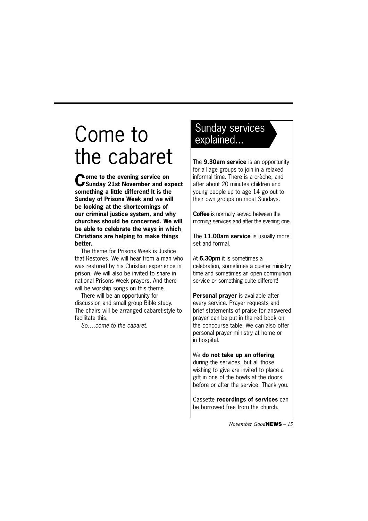# Come to the cabaret

**Come to the evening service on Sunday 21st November and expect something a little different! It is the Sunday of Prisons Week and we will be looking at the shortcomings of our criminal justice system, and why churches should be concerned. We will be able to celebrate the ways in which Christians are helping to make things better.** 

The theme for Prisons Week is Justice that Restores. We will hear from a man who was restored by his Christian experience in prison. We will also be invited to share in national Prisons Week prayers. And there will be worship songs on this theme.

There will be an opportunity for discussion and small group Bible study. The chairs will be arranged cabaret-style to facilitate this.

*So….come to the cabaret.*

# Sunday services explained...

The **9.30am service** is an opportunity for all age groups to join in a relaxed informal time. There is a crèche, and after about 20 minutes children and young people up to age 14 go out to their own groups on most Sundays.

**Coffee** is normally served between the morning services and after the evening one.

The **11.00am service** is usually more set and formal.

At **6.30pm** it is sometimes a celebration, sometimes a quieter ministry time and sometimes an open communion service or something quite different!

**Personal prayer** is available after every service. Prayer requests and brief statements of praise for answered prayer can be put in the red book on the concourse table. We can also offer personal prayer ministry at home or in hospital.

### We **do not take up an offering**

during the services, but all those wishing to give are invited to place a gift in one of the bowls at the doors before or after the service. Thank you.

Cassette **recordings of services** can be borrowed free from the church.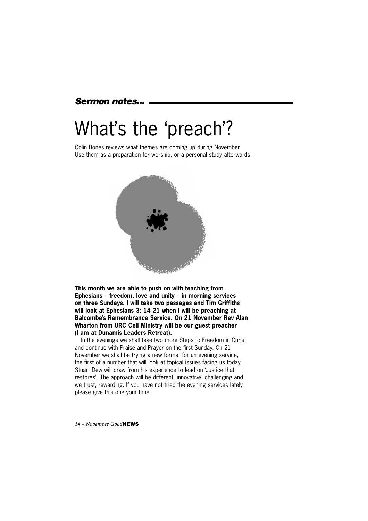### *Sermon notes...*

# What's the 'preach'?

Colin Bones reviews what themes are coming up during November. Use them as a preparation for worship, or a personal study afterwards.



**This month we are able to push on with teaching from Ephesians – freedom, love and unity – in morning services on three Sundays. I will take two passages and Tim Griffiths will look at Ephesians 3: 14-21 when I will be preaching at Balcombe's Remembrance Service. On 21 November Rev Alan Wharton from URC Cell Ministry will be our guest preacher (I am at Dunamis Leaders Retreat).** 

In the evenings we shall take two more Steps to Freedom in Christ and continue with Praise and Prayer on the first Sunday. On 21 November we shall be trying a new format for an evening service, the first of a number that will look at topical issues facing us today. Stuart Dew will draw from his experience to lead on 'Justice that restores'. The approach will be different, innovative, challenging and, we trust, rewarding. If you have not tried the evening services lately please give this one your time.

*14 – November Good***NEWS**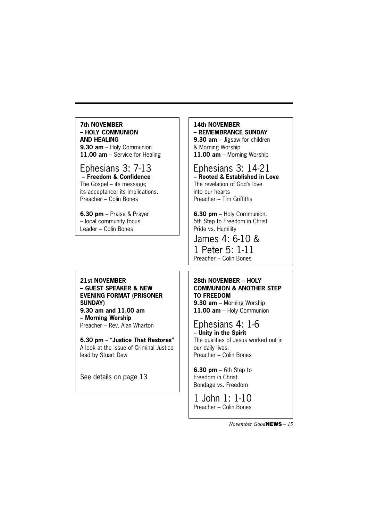### **7th NOVEMBER – HOLY COMMUNION AND HEALING**

**9.30 am** – Holy Communion **11.00 am** – Service for Healing

### Ephesians 3: 7-13  **– Freedom & Confidence**

The Gospel – its message; its acceptance; its implications. Preacher – Colin Bones

**6.30 pm** – Praise & Prayer – local community focus. Leader – Colin Bones

### **21st NOVEMBER – GUEST SPEAKER & NEW EVENING FORMAT (PRISONER SUNDAY)**

**9.30 am and 11.00 am – Morning Worship** Preacher – Rev. Alan Wharton

**6.30 pm** – **"Justice That Restores"** A look at the issue of Criminal Justice lead by Stuart Dew

See details on page 13

### **14th NOVEMBER – REMEMBRANCE SUNDAY**

**9.30 am** – Jigsaw for children & Morning Worship **11.00 am** – Morning Worship

# Ephesians 3: 14-21

**– Rooted & Established in Love** The revelation of God's love into our hearts Preacher – Tim Griffiths

**6.30 pm** – Holy Communion. 5th Step to Freedom in Christ Pride vs. Humility

James 4: 6-10 & 1 Peter 5: 1-11 Preacher – Colin Bones

# **28th NOVEMBER – HOLY COMMUNION & ANOTHER STEP TO FREEDOM**

**9.30 am** – Morning Worship **11.00 am** – Holy Communion

# Ephesians 4: 1-6

**– Unity in the Spirit** The qualities of Jesus worked out in our daily lives. Preacher – Colin Bones

**6.30 pm** – 6th Step to Freedom in Christ Bondage vs. Freedom

1 John 1: 1-10 Preacher – Colin Bones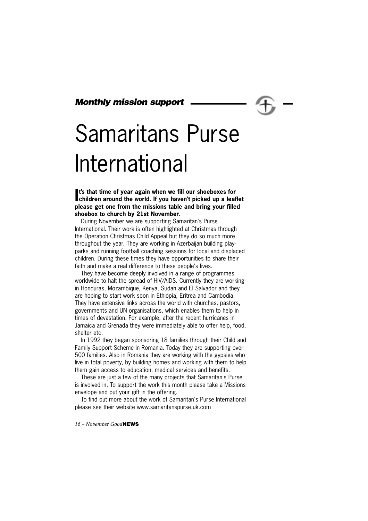## *Monthly mission support*

# Samaritans Purse International

It's that time of year again when we fill our shoeboxes for children around the world. If you haven't picked up a leaflet **t's that time of year again when we fill our shoeboxes for please get one from the missions table and bring your filled shoebox to church by 21st November.** 

During November we are supporting Samaritan's Purse International. Their work is often highlighted at Christmas through the Operation Christmas Child Appeal but they do so much more throughout the year. They are working in Azerbaijan building playparks and running football coaching sessions for local and displaced children. During these times they have opportunities to share their faith and make a real difference to these people's lives.

They have become deeply involved in a range of programmes worldwide to halt the spread of HIV/AIDS. Currently they are working in Honduras, Mozambique, Kenya, Sudan and El Salvador and they are hoping to start work soon in Ethiopia, Eritrea and Cambodia. They have extensive links across the world with churches, pastors, governments and UN organisations, which enables them to help in times of devastation. For example, after the recent hurricanes in Jamaica and Grenada they were immediately able to offer help, food, shelter etc.

In 1992 they began sponsoring 18 families through their Child and Family Support Scheme in Romania. Today they are supporting over 500 families. Also in Romania they are working with the gypsies who live in total poverty, by building homes and working with them to help them gain access to education, medical services and benefits.

These are just a few of the many projects that Samaritan's Purse is involved in. To support the work this month please take a Missions envelope and put your gift in the offering.

To find out more about the work of Samaritan's Purse International please see their website www.samaritanspurse.uk.com

*16 – November Good***NEWS**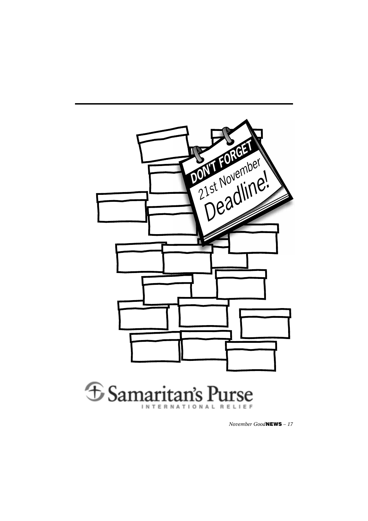

**E** Samaritan's Purse **INTERNATIONAL** RELIEF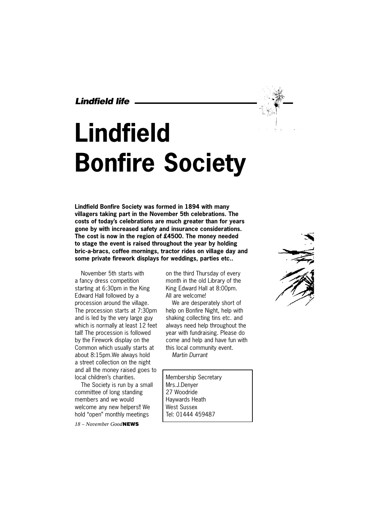*Lindfield life*

# **Lindfield Bonfire Society**

**Lindfield Bonfire Society was formed in 1894 with many villagers taking part in the November 5th celebrations. The costs of today's celebrations are much greater than for years gone by with increased safety and insurance considerations. The cost is now in the region of £4500. The money needed to stage the event is raised throughout the year by holding bric-a-bracs, coffee mornings, tractor rides on village day and some private firework displays for weddings, parties etc..**

November 5th starts with a fancy dress competition starting at 6:30pm in the King Edward Hall followed by a procession around the village. The procession starts at 7:30pm and is led by the very large guy which is normally at least 12 feet tall! The procession is followed by the Firework display on the Common which usually starts at about 8:15pm.We always hold a street collection on the night and all the money raised goes to local children's charities.

The Society is run by a small committee of long standing members and we would welcome any new helpers!! We hold "open" monthly meetings

*18 – November Good***NEWS**

on the third Thursday of every month in the old Library of the King Edward Hall at 8:00pm. All are welcome!

We are desperately short of help on Bonfire Night, help with shaking collecting tins etc. and always need help throughout the year with fundraising. Please do come and help and have fun with this local community event. *Martin Durrant*

Membership Secretary Mrs.J.Denyer 27 Woodride Haywards Heath West Sussex Tel: 01444 459487



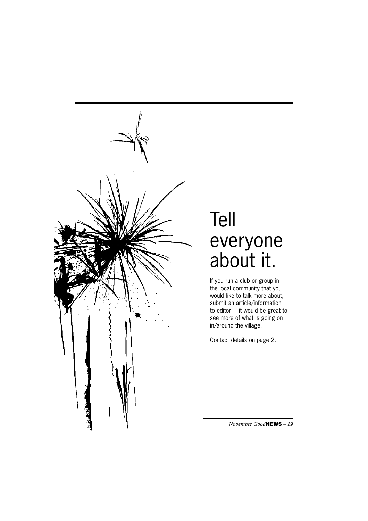

# Tell everyone about it.

If you run a club or group in the local community that you would like to talk more about, submit an article/information to editor – it would be great to see more of what is going on in/around the village.

Contact details on page 2.

*November Good***NEWS** *– 19*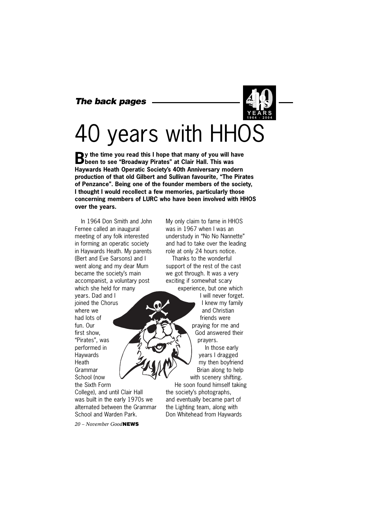## *The back pages*

# 40 years with HHOS

**By** the time you read this I hope that many of you will have **B** been to see "Broadway Pirates" at Clair Hall. This was **Haywards Heath Operatic Society's 40th Anniversary modern production of that old Gilbert and Sullivan favourite, "The Pirates of Penzance". Being one of the founder members of the society, I thought I would recollect a few memories, particularly those concerning members of LURC who have been involved with HHOS over the years.**

In 1964 Don Smith and John Fernee called an inaugural meeting of any folk interested in forming an operatic society in Haywards Heath. My parents (Bert and Eve Sarsons) and I went along and my dear Mum became the society's main accompanist, a voluntary post which she held for many years. Dad and I joined the Chorus where we had lots of fun. Our first show, "Pirates", was performed in Haywards **Heath** Grammar School (now the Sixth Form College), and until Clair Hall was built in the early 1970s we alternated between the Grammar My only claim to fame in HHOS was in 1967 when I was an understudy in "No No Nannette" and had to take over the leading role at only 24 hours notice.

Thanks to the wonderful support of the rest of the cast we got through. It was a very exciting if somewhat scary experience, but one which

I will never forget. I knew my family and Christian friends were praying for me and God answered their prayers. In those early

years I dragged my then boyfriend Brian along to help with scenery shifting.

He soon found himself taking the society's photographs, and eventually became part of the Lighting team, along with Don Whitehead from Haywards

*20 – November Good***NEWS** School and Warden Park.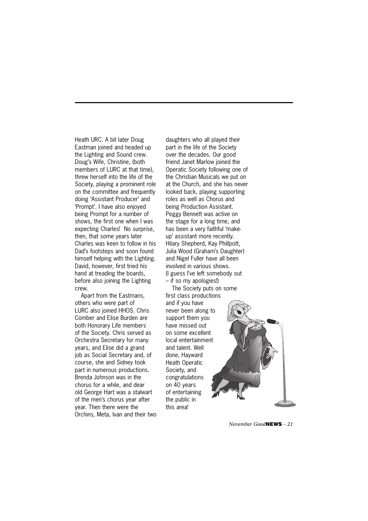Heath URC. A bit later Doug Eastman joined and headed up the Lighting and Sound crew. Doug's Wife, Christine, (both members of LURC at that time), threw herself into the life of the Society, playing a prominent role on the committee and frequently doing 'Assistant Producer' and 'Prompt'. I have also enjoyed being Prompt for a number of shows, the first one when I was expecting Charles! No surprise, then, that some years later Charles was keen to follow in his Dad's footsteps and soon found himself helping with the Lighting. David, however, first tried his hand at treading the boards, before also joining the Lighting crew.

Apart from the Eastmans, others who were part of LURC also joined HHOS. Chris Comber and Elise Burden are both Honorary Life members of the Society. Chris served as Orchestra Secretary for many years, and Elise did a grand job as Social Secretary and, of course, she and Sidney took part in numerous productions. Brenda Johnson was in the chorus for a while, and dear old George Hart was a stalwart of the men's chorus year after year. Then there were the Orchins, Meta, Ivan and their two daughters who all played their part in the life of the Society over the decades. Our good friend Janet Marlow joined the Operatic Society following one of the Christian Musicals we put on at the Church, and she has never looked back, playing supporting roles as well as Chorus and being Production Assistant. Peggy Bennett was active on the stage for a long time, and has been a very faithful 'makeup' assistant more recently. Hilary Shepherd, Kay Phillpott, Julia Wood (Graham's Daughter) and Nigel Fuller have all been involved in various shows. (I guess I've left somebody out – if so my apologies!)

The Society puts on some first class productions and if you have never been along to support them you have missed out on some excellent local entertainment and talent. Well done, Hayward Heath Operatic Society, and congratulations on 40 years of entertaining the public in this area!



*November Good***NEWS** *– 21*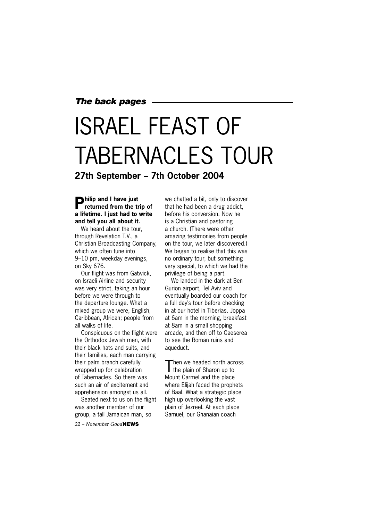## *The back pages*

# ISRAEL FEAST OF TABERNACLES TOUR **27th September – 7th October 2004**

# **Philip and I have just returned from the trip of a lifetime. I just had to write and tell you all about it.**

We heard about the tour, through Revelation T.V., a Christian Broadcasting Company, which we often tune into 9–10 pm, weekday evenings, on Sky 676.

Our flight was from Gatwick, on Israeli Airline and security was very strict, taking an hour before we were through to the departure lounge. What a mixed group we were, English, Caribbean, African; people from all walks of life.

Conspicuous on the flight were the Orthodox Jewish men, with their black hats and suits, and their families, each man carrying their palm branch carefully wrapped up for celebration of Tabernacles. So there was such an air of excitement and apprehension amongst us all.

Seated next to us on the flight was another member of our group, a tall Jamaican man, so

*22 – November Good***NEWS**

we chatted a bit, only to discover that he had been a drug addict, before his conversion. Now he is a Christian and pastoring a church. (There were other amazing testimonies from people on the tour, we later discovered.) We began to realise that this was no ordinary tour, but something very special, to which we had the privilege of being a part.

We landed in the dark at Ben Gurion airport, Tel Aviv and eventually boarded our coach for a full day's tour before checking in at our hotel in Tiberias. Joppa at 6am in the morning, breakfast at 8am in a small shopping arcade, and then off to Caeserea to see the Roman ruins and aqueduct.

Then we headed north across<br>the plain of Sharon up to Mount Carmel and the place where Elijah faced the prophets of Baal. What a strategic place high up overlooking the vast plain of Jezreel. At each place Samuel, our Ghanaian coach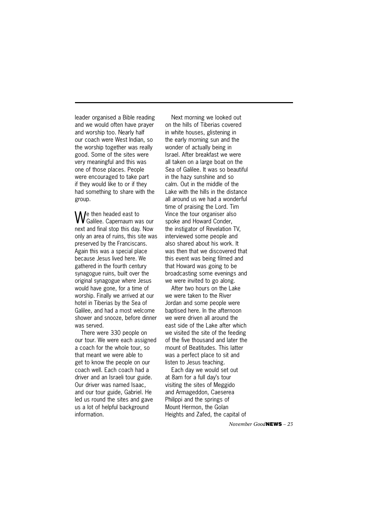leader organised a Bible reading and we would often have prayer and worship too. Nearly half our coach were West Indian, so the worship together was really good. Some of the sites were very meaningful and this was one of those places. People were encouraged to take part if they would like to or if they had something to share with the group.

We then headed east to Galilee. Capernaum was our next and final stop this day. Now only an area of ruins, this site was preserved by the Franciscans. Again this was a special place because Jesus lived here. We gathered in the fourth century synagogue ruins, built over the original synagogue where Jesus would have gone, for a time of worship. Finally we arrived at our hotel in Tiberias by the Sea of Galilee, and had a most welcome shower and snooze, before dinner was served.

There were 330 people on our tour. We were each assigned a coach for the whole tour, so that meant we were able to get to know the people on our coach well. Each coach had a driver and an Israeli tour guide. Our driver was named Isaac, and our tour guide, Gabriel. He led us round the sites and gave us a lot of helpful background information.

Next morning we looked out on the hills of Tiberias covered in white houses, glistening in the early morning sun and the wonder of actually being in Israel. After breakfast we were all taken on a large boat on the Sea of Galilee. It was so beautiful in the hazy sunshine and so calm. Out in the middle of the Lake with the hills in the distance all around us we had a wonderful time of praising the Lord. Tim Vince the tour organiser also spoke and Howard Conder, the instigator of Revelation TV, interviewed some people and also shared about his work. It was then that we discovered that this event was being filmed and that Howard was going to be broadcasting some evenings and we were invited to go along.

After two hours on the Lake we were taken to the River Jordan and some people were baptised here. In the afternoon we were driven all around the east side of the Lake after which we visited the site of the feeding of the five thousand and later the mount of Beatitudes. This latter was a perfect place to sit and listen to Jesus teaching.

Each day we would set out at 8am for a full day's tour visiting the sites of Meggido and Armageddon, Caeserea Philippi and the springs of Mount Hermon, the Golan Heights and Zafed, the capital of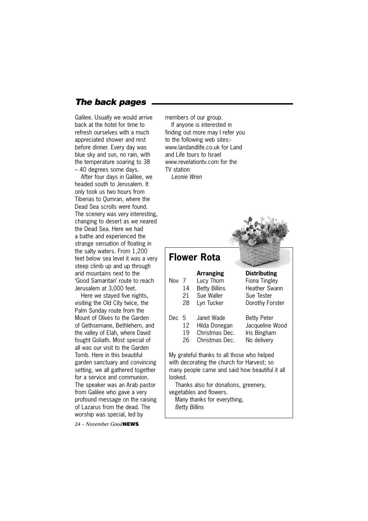# *The back pages*

Galilee. Usually we would arrive back at the hotel for time to refresh ourselves with a much appreciated shower and rest before dinner. Every day was blue sky and sun, no rain, with the temperature soaring to 38 – 40 degrees some days.

After four days in Galilee, we headed south to Jerusalem. It only took us two hours from Tiberias to Qumran, where the Dead Sea scrolls were found. The scenery was very interesting, changing to desert as we neared the Dead Sea. Here we had a bathe and experienced the strange sensation of floating in the salty waters. From 1,200 feet below sea level it was a very steep climb up and up through arid mountains next to the 'Good Samaritan' route to reach Jerusalem at 3,000 feet.

Here we stayed five nights, visiting the Old City twice, the Palm Sunday route from the Mount of Olives to the Garden of Gethsemane, Bethlehem, and the valley of Elah, where David fought Goliath. Most special of all was our visit to the Garden Tomb. Here in this beautiful garden sanctuary and convincing setting, we all gathered together for a service and communion. The speaker was an Arab pastor from Galilee who gave a very profound message on the raising of Lazarus from the dead. The worship was special, led by

*24 – November Good***NEWS**

members of our group.

If anyone is interested in finding out more may I refer you to the following web sites: www.landandlife.co.uk for Land and Life tours to Israel www.revelationty.com for the TV station *Leonie Wren*

**Flower Rota Arranging Distributing** Nov 7 Lucy Thom Fiona Tingley 14 Betty Billins Heather Swann 21 Sue Waller Sue Tester 28 Lyn Tucker Dorothy Forster Dec 5 Janet Wade Betty Peter 12 Hilda Donegan Jacqueline Wood 19 Christmas Dec. Iris Bingham 26 Christmas Dec. No delivery My grateful thanks to all those who helped with decorating the church for Harvest; so many people came and said how beautiful it all looked. Thanks also for donations, greenery, vegetables and flowers. Many thanks for everything, *Betty Billins*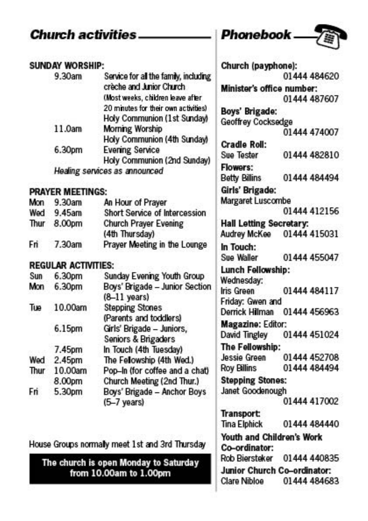#### **Church activities SUNDAY WORSHIP:** Service for all the family, including 9.30am crèche and Junior Church (Most weeks, children leave after 20 minutes for their own activities) Holy Communion (1st Sunday) 11.0am **Morning Worship** Holy Communion (4th Sunday) **Evening Service** 6.30pm Holy Communion (2nd Sunday) Healing services as announced **PRAYER MEETINGS:** Mon  $9.30am$ An Hour of Prayer Wed 9.45am **Short Service of Intercession** Thur 8.00pm **Church Prayer Evening** (4th Thursday) Prayer Meeting in the Lounge 7.30am Fri **REGULAR ACTIVITIES:** 6.30pm Sunday Evening Youth Group **Sun** Mon 6.30pm Boys' Brigade - Junior Section  $(8-11$  years) **Stepping Stones** Tue 10.00am (Parents and toddlers) Girls' Brigade - Juniors, 6.15pm Seniors & Brigaders In Touch (4th Tuesday) 7.45pm Wed 2.45pm The Fellowship (4th Wed.) Thur 10.00am Pop-In (for coffee and a chat) 8.00pm Church Meeting (2nd Thur.) Boys' Brigade - Anchor Boys Fri 5.30pm (5-7 years) House Groups normally meet 1st and 3rd Thursday

The church is open Monday to Saturday from 10.00am to 1.00pm

| Phonebook .                    | 7            |
|--------------------------------|--------------|
| Church (payphone):             |              |
|                                | 01444 484620 |
| Minister's office number:      | 01444 487607 |
| Boys' Brigade:                 |              |
| Geoffrey Cocksedge             |              |
|                                | 01444 474007 |
| Cradle Roll:                   |              |
| Sue Tester                     | 01444 482810 |
| <b>Flowers:</b>                |              |
| <b>Betty Billins</b>           | 01444 484494 |
| Girls' Brigade:                |              |
| Margaret Luscombe              |              |
|                                | 01444 412156 |
| <b>Hall Letting Secretary:</b> |              |
| Audrey McKee                   | 01444 415031 |
| In Touch:                      |              |
| Sue Waller                     | 01444 455047 |
| Lunch Fellowship:              |              |
| Wednesday:                     |              |
| Iris Green                     | 01444 484117 |
| Friday: Gwen and               |              |
| Derrick Hilman                 | 01444 456963 |
| Magazine: Editor:              |              |
| David Tingley                  | 01444 451024 |
| The Fellowship:                |              |
| Jessie Green                   | 01444 452708 |
| <b>Roy Billins</b>             | 01444 484494 |
| <b>Stepping Stones:</b>        |              |
| Janet Goodenough               |              |
|                                | 01444 417002 |
| <b>Transport:</b>              |              |
| Tina Elphick                   | 01444 484440 |
| Youth and Children's Work      |              |
| Co-ordinator:                  |              |
| <b>Rob Biersteker</b>          | 01444 440835 |
| Junior Church Co-ordinator:    |              |
| Clare Nibloe                   | 01444 484683 |